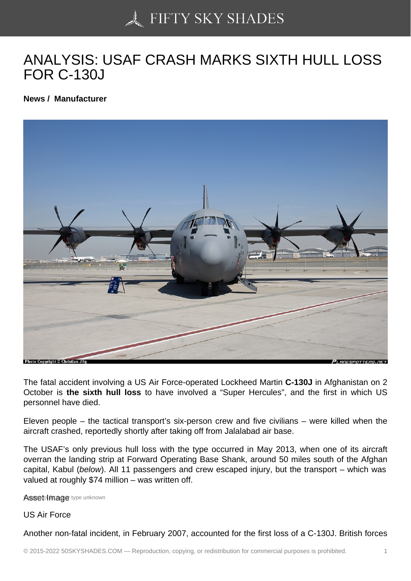## [ANALYSIS: USAF CRA](https://50skyshades.com)SH MARKS SIXTH HULL LOSS FOR C-130J

News / Manufacturer

The fatal accident involving a US Air Force-operated Lockheed Martin C-130J in Afghanistan on 2 October is the sixth hull loss to have involved a "Super Hercules", and the first in which US personnel have died.

Eleven people – the tactical transport's six-person crew and five civilians – were killed when the aircraft crashed, reportedly shortly after taking off from Jalalabad air base.

The USAF's only previous hull loss with the type occurred in May 2013, when one of its aircraft overran the landing strip at Forward Operating Base Shank, around 50 miles south of the Afghan capital, Kabul (below). All 11 passengers and crew escaped injury, but the transport – which was valued at roughly \$74 million – was written off.

Asset Image type unknown

US Air Force

Another non-fatal incident, in February 2007, accounted for the first loss of a C-130J. British forces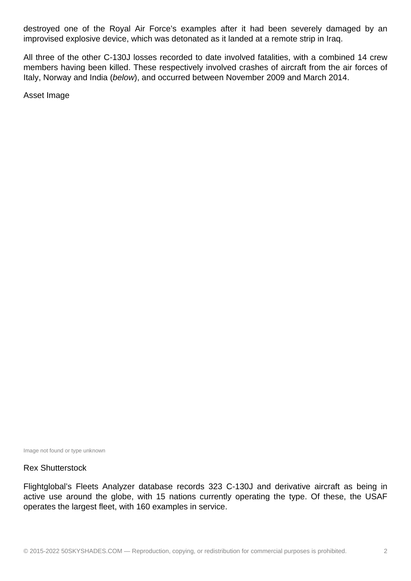destroyed one of the Royal Air Force's examples after it had been severely damaged by an improvised explosive device, which was detonated as it landed at a remote strip in Iraq.

All three of the other C-130J losses recorded to date involved fatalities, with a combined 14 crew members having been killed. These respectively involved crashes of aircraft from the air forces of Italy, Norway and India (below), and occurred between November 2009 and March 2014.

Asset Image

Image not found or type unknown

## Rex Shutterstock

Flightglobal's Fleets Analyzer database records 323 C-130J and derivative aircraft as being in active use around the globe, with 15 nations currently operating the type. Of these, the USAF operates the largest fleet, with 160 examples in service.